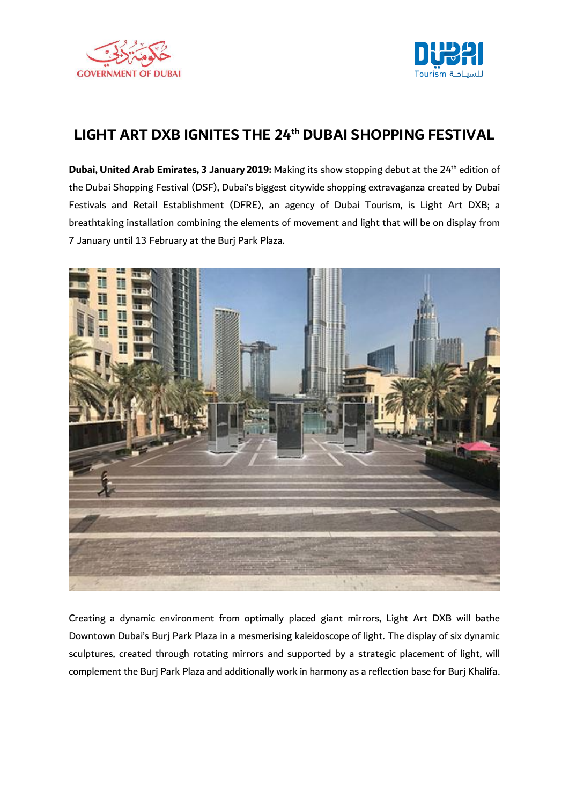



## **LIGHT ART DXB IGNITES THE 24 th DUBAI SHOPPING FESTIVAL**

**Dubai, United Arab Emirates, 3 January 2019:** Making its show stopping debut at the 24 th edition of the Dubai Shopping Festival (DSF), Dubai's biggest citywide shopping extravaganza created by Dubai Festivals and Retail Establishment (DFRE), an agency of Dubai Tourism, is Light Art DXB; a breathtaking installation combining the elements of movement and light that will be on display from 7 January until 13 February at the Burj Park Plaza.



Creating a dynamic environment from optimally placed giant mirrors, Light Art DXB will bathe Downtown Dubai's Burj Park Plaza in a mesmerising kaleidoscope of light. The display of six dynamic sculptures, created through rotating mirrors and supported by a strategic placement of light, will complement the Burj Park Plaza and additionally work in harmony as a reflection base for Burj Khalifa.